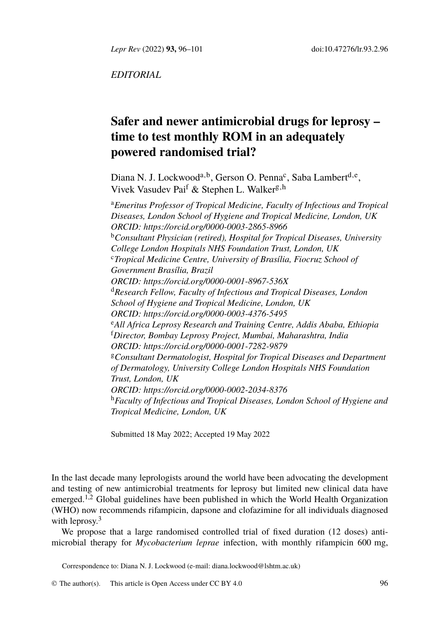*Lepr Rev* (2022) **93,** 96–101 doi:10.47276/lr.93.2.96

*EDITORIAL*

# **Safer and newer antimicrobial drugs for leprosy – time t[o test monthly ROM in an a](https://orcid.org/0000-0003-2865-8966)dequately powered randomised trial?**

Diana N. J. Lock[woo](https://orcid.org/0000-0001-8967-536X)d<sup>a, b</sup>, Gerso[n](https://orcid.org/0000-0001-8967-536X) O. Penna<sup>c</sup>, Saba Lambert<sup>d, e</sup>, Vivek [Vasudev Pai](https://orcid.org/0000-0001-8967-536X)<sup>f</sup> [& Stephen L. Walker](https://orcid.org/0000-0001-8967-536X)<sup>[g,h](https://orcid.org/0000-0001-8967-536X)</sup>

<sup>a</sup>*Emeritus Professor of Tropical Medicine, Faculty of Infectious and Tropical Diseases[, London School of Hygiene and Tropica](https://orcid.org/0000-0003-4376-5495)l Medicine, London, UK ORCID: https://orcid.org/0000-0003-2865-8966* <sup>b</sup>*Consultant Physician (retired), Hospital for Tropical Diseases, University College [London Hospitals NHS Foundation Trust](https://orcid.org/0000-0001-7282-9879), London, UK* <sup>c</sup>*Tropical Medicine Centre, University of Brasília, Fiocruz School of Government Brasília, Brazil ORCID: https://orcid.org/0000-0001-8967-536X* <sup>d</sup>*Researc[h Fellow, Faculty of Infectious and Tropi](https://orcid.org/0000-0002-2034-8376)cal Diseases, London School of Hygiene and Tropical Medicine, London, UK ORCID: https://orcid.org/0000-0003-4376-5495* <sup>e</sup>*All Africa Leprosy Research and Training Centre, Addis Ababa, Ethiopia* <sup>f</sup>*Director, Bombay Leprosy Project, Mumbai, Maharashtra, India ORCID: https://orcid.org/0000-0001-7282-9879* <sup>g</sup>*Consultant Dermatologist, Hospital for Tropical Diseases and Department of Dermatology, University College London Hospitals NHS Foundation Trust, London, UK ORCID: https://orcid.org/0000-0002-2034-8376* <sup>h</sup>*Faculty of Infectious and Tropical Diseases, London School of Hygiene and Tropical Medicine, London, UK*

Submitted 18 May 2022; Accepted 19 May 2022

In the last decade many leprologists around [the world have been adv](mailto:diana.lockwood@lshtm.ac.uk)ocating the development and testing of new antimicrobial treatmen[ts for lepr](http://creativecommons.org/licenses/by/4.0/)osy but limited new clinical data have emerged.<sup>1,2</sup> Global guidelines have been published in which the World Health Organization (WHO) now recommends rifampicin, dapsone and clofazimine for all individuals diagnosed with leprosy.<sup>3</sup>

We propose that a large randomised controlled trial of fixed duration (12 doses) antimicrobial therapy for *Mycobacterium leprae* infection, with monthly rifampicin 600 mg,

Correspondence to: Diana N. J. Lockwood (e-mail: diana.lockwood@lshtm.ac.uk)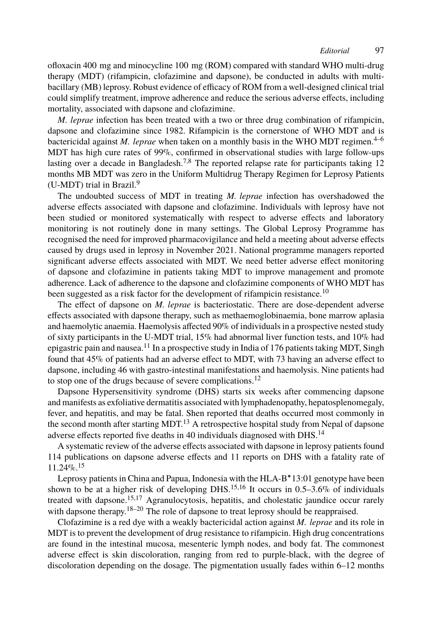ofloxacin 400 mg and minocycline 1[00](#page-4-2)mg (ROM) compared with standard WHO multi-drug therapy (MDT) (rifampicin, clofazimine and dapsone), be conducted in adults with multibacillary (MB) leprosy. [Ro](#page-4-4)bust evidence of efficacy of ROM from a well-designed clinical trial could simplify treatment, improve adherence and reduce the serious adverse effects, including mortality, associated with dapsone and clofazimine.

*M. leprae* infection has been treated with a two or three drug combination of rifampicin, dapsone and clofazimine since 1982. Rifampicin is the cornerstone of WHO MDT and is bactericidal against *M. leprae* when taken on a monthly basis in the WHO MDT regimen.<sup>4–6</sup> MDT has high cure rates of 99%, confirmed in observational studies with large follow-ups lasting over a decade in Bangladesh.<sup>7,8</sup> The reported relapse rate for participants taking 12 months MB MDT was zero in the Uniform Multidrug Therapy Regimen for Leprosy Patients (U-MDT) trial in Brazil. $9$ 

The undoubted success of MDT in treating *M. leprae* infection has [ove](#page-4-5)rshadowed the adverse effects associated with dapsone and clofazimine. Individuals with leprosy have not been studied or monitored systematically with respect to adverse effects and laboratory monitoring is not routinely done in many settings. The Global Leprosy Programme has recognised the need for improved pharmacovigilance and held a meeting about adverse effects caused by drugs used in l[epr](#page-4-6)osy in November 2021. National programme managers reported significant adverse effects associated with MDT. We need better adverse effect monitoring of dapsone and clofazimine in patients taking MDT to improve management and promote adherence. Lack of adherence to the dapsone and clofazi[min](#page-4-7)e components of WHO MDT has been suggested as a risk factor for the development of rifampicin resistance.<sup>10</sup>

The effect of dapsone on *M. leprae* is bacteriostatic. There are dose-dependent adverse effects associated with dapsone therapy, such as methaemoglobinaemia, bone marrow aplasia and haemolytic anaemia. Haemolysis [aff](#page-4-8)ected 90% of individuals in a prospective nested study of sixty participants in the U-MDT trial, 15% had abnormal liver function [tes](#page-4-9)ts, and 10% had epigastric pain and nausea.<sup>11</sup> In a prospective study in India of 176 patients taking MDT, Singh found that 45% of patients had an adverse effect to MDT, with 73 having an adverse effect to dapsone[, in](#page-4-10)cluding 46 with gastro-intestinal manifestations and haemolysis. Nine patients had to stop one of the drugs because of severe complications.<sup>12</sup>

Dapsone Hypersensitivity syndrome (DHS) st[art](#page-4-10)[s s](#page-4-11)ix weeks after commencing dapsone and manifests as exfol[iat](#page-4-10)[ive](#page-4-12) dermatitis associated with lymphadenopathy, hepatosplenomegaly, fever, and hepatitis, a[nd](#page-4-13) [ma](#page-4-14)y be fatal. Shen reported that deaths occurred most commonly in the second month after starting MDT.<sup>13</sup> A retrospective hospital study from Nepal of dapsone adverse effects reported five deaths in 40 individuals diagnosed with DHS.<sup>14</sup>

A systematic review of the adverse effects associated with dapsone in leprosy patients found 114 publications on dapsone adverse effects and 11 reports on DHS with a fatality rate of 11.24%.<sup>15</sup>

Leprosy patients in China and Papua, Indonesia with the HLA-B∗13:01 genotype have been shown to be at a higher risk of developing DHS.<sup>15,16</sup> It occurs in  $0.5-3.6\%$  of individuals treated with dapsone.15,17 Agranulocytosis, hepatitis, and cholestatic jaundice occur rarely with dapsone therapy.<sup>18–20</sup> The role of dapsone to treat leprosy should be reappraised.

Clofazimine is a red dye with a weakly bactericidal action against *M. leprae* and its role in MDT is to prevent the development of drug resistance to rifampicin. High drug concentrations are found in the intestinal mucosa, mesenteric lymph nodes, and body fat. The commonest adverse effect is skin discoloration, ranging from red to purple-black, with the degree of discoloration depending on the dosage. The pigmentation usually fades within 6–12 months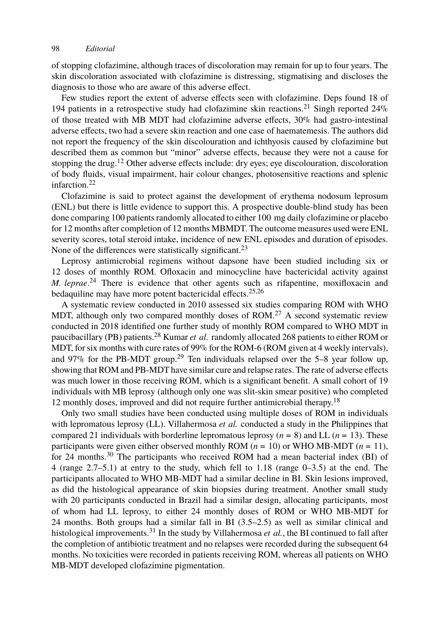of stopping clofaz[im](#page-4-7)ine, although traces of discoloration may remain for up to four years. The skin discoloration associated with clofazimine is distressing, stigmatising and discloses the diagnosis [to](#page-5-0) those who are aware of this adverse effect.

Few studies report the extent of adverse effects seen with clofazimine. Deps found 18 of 194 patients in a retrospective study had clofazimine skin reactions.<sup>21</sup> Singh reported  $24\%$ of those treated with MB MDT had clofazimine adverse effects, 30% had gastro-intestinal adverse effects, two had a severe skin reaction and one case of haematemesis. The authors did not report the frequency of the skin discolouration and ichthyosis caused by clofazimine but described them as common but "minor" adverse e[ffec](#page-5-1)ts, because they were not a cause for stopping the drug.<sup>12</sup> Other adverse effects include: dry eyes; eye discolouration, discoloration of body fluids, visual impairment, hair colour changes, photosensitive reactions and splenic infarction.[22](#page-5-2)

Clofazimine is said to protect against the develop[m](#page-5-3)[ent](#page-5-4) of erythema nodosum leprosum (ENL) but there is little evidence to support this. A prospective double-blind study has been done comparing 100 patients randomly allocated to either 100 [mg](#page-5-5) daily clofazimine or placebo for 12 months after completion of 12 months MBMDT. The outcome measures used were ENL severity scores, total steroid [in](#page-5-6)take, incidence of new ENL episodes and duration of episodes. None of the differences were statistically significant.<sup>23</sup>

Leprosy antimicrobial regime[ns](#page-5-7) without dapsone have been studied including six or 12 doses of monthly ROM. Ofloxacin and minocycline have bactericidal activity against *M. leprae*. <sup>24</sup> There is evidence that other agents such as rifapentine, moxifloxacin and bedaquiline may have more potent bactericidal effects.<sup>25,26</sup>

A systematic review conducted in 2010 assessed six studies comparing R[OM](#page-4-13) with WHO MDT, although only two compared monthly doses of ROM.<sup>27</sup> A second systematic review conducted in 2018 identified one further study of monthly ROM compared to WHO MDT in paucibacillary (PB) patients.<sup>28</sup> Kumar *et al.* randomly allocated 268 patients to either ROM or MDT, for six months with cure rates of 99% for the ROM-6 (ROM given at 4 weekly intervals), and 97% for t[he](#page-5-8) PB-MDT group.<sup>29</sup> Ten individuals relapsed over the 5–8 year follow up, showing that ROM and PB-MDT have similar cure and relapse rates. The rate of adverse effects was much lower in those receiving ROM, which is a significant benefit. A small cohort of 19 individuals with MB leprosy (although only one was slit-skin smear positive) who completed 12 monthly doses, improved and did not require further antimicrobial therapy.<sup>18</sup>

Only two small studies have been conducted using multiple doses of ROM in individuals with lepromatous leprosy (LL). Villahermosa *et al.* conducted a study in the Philippines that compared 21 individuals [with](#page-5-9) borderline lepromatous leprosy  $(n = 8)$  and LL  $(n = 13)$ . These participants were given either observed monthly ROM ( $n = 10$ ) or WHO MB-MDT ( $n = 11$ ), for 24 months.<sup>30</sup> The participants who received ROM had a mean bacterial index (BI) of 4 (range 2.7–5.1) at entry to the study, which fell to 1.18 (range 0–3.5) at the end. The participants allocated to WHO MB-MDT had a similar decline in BI. Skin lesions improved, as did the histological appearance of skin biopsies during treatment. Another small study with 20 participants conducted in Brazil had a similar design, allocating participants, most of whom had LL leprosy, to either 24 monthly doses of ROM or WHO MB-MDT for 24 months. Both groups had a similar fall in BI (3.5–2.5) as well as similar clinical and histological improvements.<sup>31</sup> In the study by Villahermosa *et al.*, the BI continued to fall after the completion of antibiotic treatment and no relapses were recorded during the subsequent 64 months. No toxicities were recorded in patients receiving ROM, whereas all patients on WHO MB-MDT developed clofazimine pigmentation.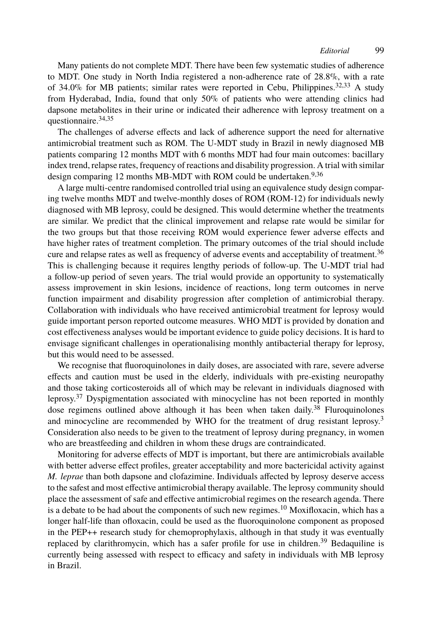Many patients do not complete MDT. There have been few systematic studies of adherence to MDT. One study in North India registered a non-adherence rate of[28](#page-5-10).8%, with a rate of 34.0% for MB patients; similar rates were reported in Cebu, Philippines.<sup>32,33</sup> A study from Hyderabad, India, found that only 50% of patients who were attending clinics had dapsone metabolites in their urine or indicated their adherence with leprosy treatment on a questionnaire.34,35

The challenges of adverse effects and lack of adherence support the need for alternative antimicrobial treatment such as ROM. The U-MDT study in Brazil in newly diagnosed MB patients comparing 12 months MDT with 6 months MDT had four main outcomes: bacilla[ry](#page-5-10) index trend, relapse rates, frequency of reactions and disability progression. A trial with similar design comparing 12 months MB-MDT with ROM could be undertaken.<sup>9,36</sup>

A large multi-centre randomised controlled trial using an equivalence study design comparing twelve months MDT and twelve-monthly doses of ROM (ROM-12) for individuals newly diagnosed with MB leprosy, could be designed. This would determine whether the treatments are similar. We predict that the clinical improvement and relapse rate would be similar for the two groups but that those receiving ROM would experience fewer adverse effects and have higher rates of treatment completion. The primary outcomes of the trial should include cure and relapse rates as well as frequency of adverse events and acceptability of treatment.<sup>36</sup> This is challenging because it requires lengthy periods of follow-up. The U-MDT trial had a follow-up period of seven years. The trial would provide an opportunity to systematically assess improvement in skin lesions, incidence of reactions, long term outcomes in nerve functio[n i](#page-5-11)mpairment and disability progression after completion of antimicrobial therapy. Collaboration with individuals who have received antimicrobial treatme[nt f](#page-5-12)or leprosy would guide important person reported outcome measures. WHO MDT is provided by donation an[d](#page-4-15) cost effectiveness analyses would be important evidence to guide policy decisions. It is hard to envisage significant challenges in operationalising monthly antibacterial therapy for leprosy, but this would need to be assessed.

We recognise that fluoroquinolones in daily doses, are associated with rare, severe adverse effects and caution must be used in the elderly, individuals with pre-existing neuropathy and those taking corticosteroids all of which may be relevant in individuals diagnosed with leprosy.<sup>37</sup> Dyspigmentation associated with minocycline has not been reported in monthly dose regimens outlined above although it has been when ta[ken](#page-4-5) daily.<sup>38</sup> Fluroquinolones and minocycline are recommended by WHO for the treatment of drug resistant leprosy.<sup>3</sup> Consideration also needs to be given to the treatment of leprosy during pregnancy, in women who are breastfeeding and children in whom these drugs are contraindicate[d.](#page-5-13)

Monitoring for adverse effects of MDT is important, but there are antimicrobials available with better adverse effect profiles, greater acceptability and more bactericidal activity against *M. leprae* than both dapsone and clofazimine. Individuals affected by leprosy deserve access to the safest and most effective antimicrobial therapy available. The leprosy community should place the assessment of safe and effective antimicrobial regimes on the research agenda. There is a debate to be had about the components of such new regimes.<sup>10</sup> Moxifloxacin, which has a longer half-life than ofloxacin, could be used as the fluoroquinolone component as proposed in the PEP++ research study for chemoprophylaxis, although in that study it was eventually replaced by clarithromycin, which has a safer profile for use in children.<sup>39</sup> Bedaquiline is currently being assessed with respect to efficacy and safety in individuals with MB leprosy in Brazil.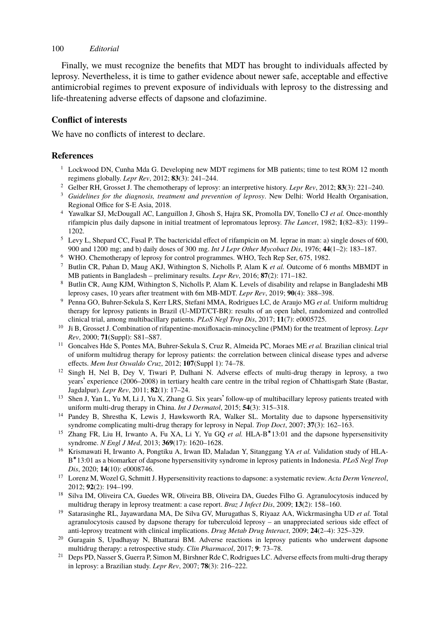Finally, we must recognize the benefits that MDT has brought to individuals affected by leprosy. Nevertheless, it is time to gather evidence about newer safe, acceptable and effective antimicrobial regimes to prevent exposure of individuals with leprosy to the distressing and life-threatening adverse effects of dapsone and clofazimine.

# **Conflict of interests**

We have no conflicts of interest to declare.

## **References**

- $1$  Lockwood DN, Cunha Mda G. Developing new MDT regimens for MB patients; time to test ROM 12 month regimens globally. *Lepr Rev*, 2012; **83**(3): 241–244.
- <sup>2</sup> Gelber RH, Grosset J. The chemotherapy of leprosy: an interpretive history. *Lepr Rev*, 2012; **83**(3): 221–240.
- <span id="page-4-15"></span><sup>3</sup> *Guidelines for the diagnosis, treatment and prevention of leprosy*. New Delhi: World Health Organisation, Regional Office for S-E Asia, 2018.
- <span id="page-4-0"></span><sup>4</sup> Yawalkar SJ, McDougall AC, Languillon J, Ghosh S, Hajra SK, Promolla DV, Tonello CJ *et al.* Once-monthly rifampicin plus daily dapsone in initial treatment of lepromatous leprosy. *The Lancet*, 1982; **1**(82–83): 1199– 1202.
- <sup>5</sup> Levy L, Shepard CC, Fasal P. The bactericidal effect of rifampicin on M. leprae in man: a) single doses of 600, 900 and 1200 mg; and b) daily doses of 300 mg. *Int J Lepr Other Mycobact Dis*, 1976; **44**(1–2): 183–187.
- <span id="page-4-1"></span><sup>6</sup> WHO. Chemotherapy of leprosy for control programmes. WHO, Tech Rep Ser, 675, 1982.
- <span id="page-4-2"></span><sup>7</sup> Butlin CR, Pahan D, Maug AKJ, Withington S, Nicholls P, Alam K *et al.* Outcome of 6 months MBMDT in MB patients in Bangladesh – preliminary results. *Lepr Rev*, 2016; **87**(2): 171–182.
- <span id="page-4-3"></span><sup>8</sup> Butlin CR, Aung KJM, Withington S, Nicholls P, Alam K. Levels of disability and relapse in Bangladeshi MB leprosy cases, 10 years after treatment with 6m MB-MDT. *Lepr Rev*, 2019; **90**(4): 388–398.
- <span id="page-4-4"></span><sup>9</sup> Penna GO, Buhrer-Sekula S, Kerr LRS, Stefani MMA, Rodrigues LC, de Araujo MG *et al.* Uniform multidrug therapy for leprosy patients in Brazil (U-MDT/CT-BR): results of an open label, randomized and controlled clinical trial, among multibacillary patients. *PLoS Negl Trop Dis*, 2017; **11**(7): e0005725.
- <span id="page-4-5"></span><sup>10</sup> Ji B, Grosset J. Combination of rifapentine-moxifloxacin-minocycline (PMM) for the treatment of leprosy. *Lepr Rev*, 2000; **71**(Suppl): S81–S87.
- <span id="page-4-6"></span><sup>11</sup> Goncalves Hde S, Pontes MA, Buhrer-Sekula S, Cruz R, Almeida PC, Moraes ME *et al.* Brazilian clinical trial of uniform multidrug therapy for leprosy patients: the correlation between clinical disease types and adverse effects. *Mem Inst Oswaldo Cruz*, 2012; **107**(Suppl 1): 74–78.
- <span id="page-4-7"></span><sup>12</sup> Singh H, Nel B, Dey V, Tiwari P, Dulhani N. Adverse effects of multi-drug therapy in leprosy, a two years' experience (2006–2008) in tertiary health care centre in the tribal region of Chhattisgarh State (Bastar, Jagdalpur). *Lepr Rev*, 2011; **82**(1): 17–24.
- <span id="page-4-8"></span><sup>13</sup> Shen J, Yan L, Yu M, Li J, Yu X, Zhang G. Six years' follow-up of multibacillary leprosy patients treated with uniform multi-drug therapy in China. *Int J Dermatol*, 2015; **54**(3): 315–318.
- <span id="page-4-9"></span><sup>14</sup> Pandey B, Shrestha K, Lewis J, Hawksworth RA, Walker SL. Mortality due to dapsone hypersensitivity syndrome complicating multi-drug therapy for leprosy in Nepal. *Trop Doct*, 2007; **37**(3): 162–163.
- <span id="page-4-10"></span>15 Zhang FR, Liu H, Irwanto A, Fu XA, Li Y, Yu GQ et al. HLA-B<sup>\*</sup>13:01 and the dapsone hypersensitivity syndrome. *N Engl J Med*, 2013; **369**(17): 1620–1628.
- <span id="page-4-11"></span><sup>16</sup> Krismawati H, Irwanto A, Pongtiku A, Irwan ID, Maladan Y, Sitanggang YA *et al.* Validation study of HLA-B ∗13:01 as a biomarker of dapsone hypersensitivity syndrome in leprosy patients in Indonesia. *PLoS Negl Trop Dis*, 2020; **14**(10): e0008746.
- <span id="page-4-12"></span><sup>17</sup> Lorenz M, Wozel G, Schmitt J. Hypersensitivity reactions to dapsone: a systematic review. *Acta Derm Venereol*, 2012; **92**(2): 194–199.
- <span id="page-4-13"></span><sup>18</sup> Silva IM, Oliveira CA, Guedes WR, Oliveira BB, Oliveira DA, Guedes Filho G. Agranulocytosis induced by multidrug therapy in leprosy treatment: a case report. *Braz J Infect Dis*, 2009; **13**(2): 158–160.
- <sup>19</sup> Satarasinghe RL, Jayawardana MA, De Silva GV, Murugathas S, Riyaaz AA, Wickrmasingha UD *et al.* Total agranulocytosis caused by dapsone therapy for tuberculoid leprosy – an unappreciated serious side effect of anti-leprosy treatment with clinical implications. *Drug Metab Drug Interact*, 2009; **24**(2–4): 325–329.
- <span id="page-4-14"></span><sup>20</sup> Guragain S, Upadhayay N, Bhattarai BM. Adverse reactions in leprosy patients who underwent dapsone multidrug therapy: a retrospective study. *Clin Pharmacol*, 2017; **9**: 73–78.
- <sup>21</sup> Deps PD, Nasser S, Guerra P, Simon M, Birshner Rde C, Rodrigues LC. Adverse effects from multi-drug therapy in leprosy: a Brazilian study. *Lepr Rev*, 2007; **78**(3): 216–222.